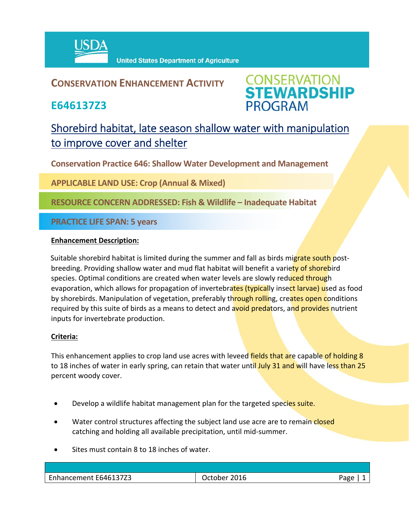

**United States Department of Agriculture** 

### **CONSERVATION ENHANCEMENT ACTIVITY**

**E646137Z3**



## Shorebird habitat, late season shallow water with manipulation to improve cover and shelter

**Conservation Practice 646: Shallow Water Development and Management**

**APPLICABLE LAND USE: Crop (Annual & Mixed)**

**RESOURCE CONCERN ADDRESSED: Fish & Wildlife – Inadequate Habitat**

**PRACTICE LIFE SPAN: 5 years**

#### **Enhancement Description:**

Suitable shorebird habitat is limited during the summer and fall as birds migrate south postbreeding. Providing shallow water and mud flat habitat will benefit a variety of shorebird species. Optimal conditions are created when water levels are slowly reduced through evaporation, which allows for propagation of invertebrates (typically insect larvae) used as food by shorebirds. Manipulation of vegetation, preferably through rolling, creates open conditions required by this suite of birds as a means to detect and avoid predators, and provides nutrient inputs for invertebrate production.

#### **Criteria:**

This enhancement applies to crop land use acres with leveed fields that are capable of holding 8 to 18 inches of water in early spring, can retain that water until July 31 and will have less than 25 percent woody cover.

- Develop a wildlife habitat management plan for the targeted species suite.
- Water control structures affecting the subject land use acre are to remain closed catching and holding all available precipitation, until mid‐summer.
- Sites must contain 8 to 18 inches of water.

| E646137Z3<br>Lnhancement | 2016<br>Jctober | Jape |
|--------------------------|-----------------|------|